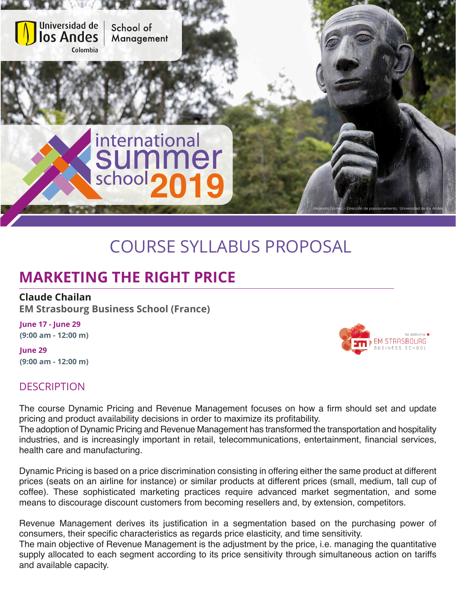

# COURSE SYLLABUS PROPOSAL

# **MARKETING THE RIGHT PRICE**

#### **Claude Chailan**

**EM Strasbourg Business School (France)**

**June 17 - June 29** 

**(9:00 am - 12:00 m)**

**June 29 (9:00 am - 12:00 m)**



## **DESCRIPTION**

The course Dynamic Pricing and Revenue Management focuses on how a firm should set and update pricing and product availability decisions in order to maximize its profitability.

The adoption of Dynamic Pricing and Revenue Management has transformed the transportation and hospitality industries, and is increasingly important in retail, telecommunications, entertainment, financial services, health care and manufacturing.

Dynamic Pricing is based on a price discrimination consisting in offering either the same product at different prices (seats on an airline for instance) or similar products at different prices (small, medium, tall cup of coffee). These sophisticated marketing practices require advanced market segmentation, and some means to discourage discount customers from becoming resellers and, by extension, competitors.

Revenue Management derives its justification in a segmentation based on the purchasing power of consumers, their specific characteristics as regards price elasticity, and time sensitivity.

The main objective of Revenue Management is the adjustment by the price, i.e. managing the quantitative supply allocated to each segment according to its price sensitivity through simultaneous action on tariffs and available capacity.